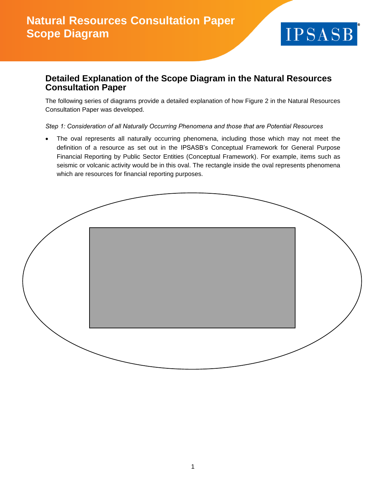

## **Detailed Explanation of the Scope Diagram in the Natural Resources Consultation Paper**

The following series of diagrams provide a detailed explanation of how Figure 2 in the Natural Resources Consultation Paper was developed.

*Step 1: Consideration of all Naturally Occurring Phenomena and those that are Potential Resources*

The oval represents all naturally occurring phenomena, including those which may not meet the definition of a resource as set out in the IPSASB's Conceptual Framework for General Purpose Financial Reporting by Public Sector Entities (Conceptual Framework). For example, items such as seismic or volcanic activity would be in this oval. The rectangle inside the oval represents phenomena which are resources for financial reporting purposes.

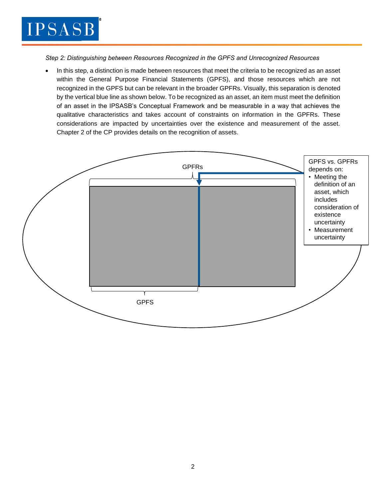

*Step 2: Distinguishing between Resources Recognized in the GPFS and Unrecognized Resources*

• In this step, a distinction is made between resources that meet the criteria to be recognized as an asset within the General Purpose Financial Statements (GPFS), and those resources which are not recognized in the GPFS but can be relevant in the broader GPFRs. Visually, this separation is denoted by the vertical blue line as shown below. To be recognized as an asset, an item must meet the definition of an asset in the IPSASB's Conceptual Framework and be measurable in a way that achieves the qualitative characteristics and takes account of constraints on information in the GPFRs. These considerations are impacted by uncertainties over the existence and measurement of the asset. Chapter 2 of the CP provides details on the recognition of assets.

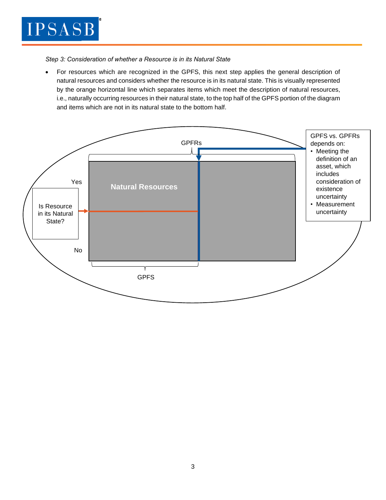

*Step 3: Consideration of whether a Resource is in its Natural State*

• For resources which are recognized in the GPFS, this next step applies the general description of natural resources and considers whether the resource is in its natural state. This is visually represented by the orange horizontal line which separates items which meet the description of natural resources, i.e., naturally occurring resources in their natural state, to the top half of the GPFS portion of the diagram and items which are not in its natural state to the bottom half.

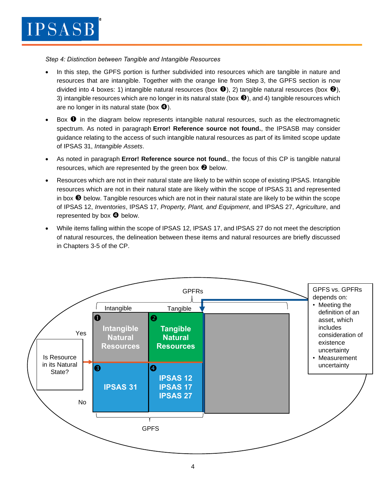*Step 4: Distinction between Tangible and Intangible Resources*

- In this step, the GPFS portion is further subdivided into resources which are tangible in nature and resources that are intangible. Together with the orange line from Step 3, the GPFS section is now divided into 4 boxes: 1) intangible natural resources (box  $\bullet$ ), 2) tangible natural resources (box  $\bullet$ ), 3) intangible resources which are no longer in its natural state (box  $\bigcirc$ ), and 4) tangible resources which are no longer in its natural state (box  $\bullet$ ).
- Box  $\bullet$  in the diagram below represents intangible natural resources, such as the electromagnetic spectrum. As noted in paragraph **Error! Reference source not found.**, the IPSASB may consider guidance relating to the access of such intangible natural resources as part of its limited scope update of IPSAS 31, *Intangible Assets*.
- As noted in paragraph **Error! Reference source not found.**, the focus of this CP is tangible natural resources, which are represented by the green box  $\bullet$  below.
- Resources which are not in their natural state are likely to be within scope of existing IPSAS. Intangible resources which are not in their natural state are likely within the scope of IPSAS 31 and represented in box  $\Theta$  below. Tangible resources which are not in their natural state are likely to be within the scope of IPSAS 12, *Inventories*, IPSAS 17, *Property, Plant, and Equipment*, and IPSAS 27, *Agriculture*, and represented by box  $\bullet$  below.
- While items falling within the scope of IPSAS 12, IPSAS 17, and IPSAS 27 do not meet the description of natural resources, the delineation between these items and natural resources are briefly discussed in Chapters 3-5 of the CP.

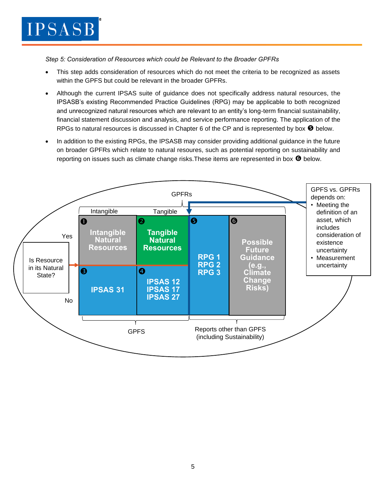*Step 5: Consideration of Resources which could be Relevant to the Broader GPFRs*

- This step adds consideration of resources which do not meet the criteria to be recognized as assets within the GPFS but could be relevant in the broader GPFRs.
- Although the current IPSAS suite of guidance does not specifically address natural resources, the IPSASB's existing Recommended Practice Guidelines (RPG) may be applicable to both recognized and unrecognized natural resources which are relevant to an entity's long-term financial sustainability, financial statement discussion and analysis, and service performance reporting. The application of the RPGs to natural resources is discussed in Chapter 6 of the CP and is represented by box  $\bullet$  below.
- In addition to the existing RPGs, the IPSASB may consider providing additional guidance in the future on broader GPFRs which relate to natural resoures, such as potential reporting on sustainability and reporting on issues such as climate change risks. These items are represented in box  $\Theta$  below.